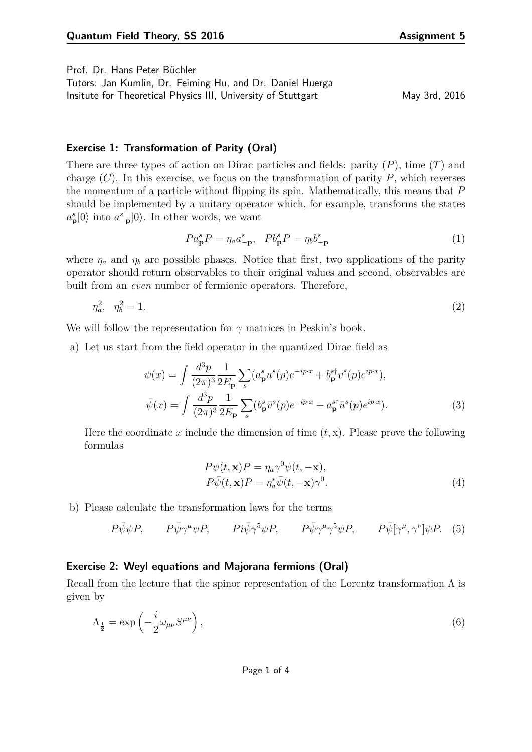Prof. Dr. Hans Peter Büchler

Tutors: Jan Kumlin, Dr. Feiming Hu, and Dr. Daniel Huerga Insitute for Theoretical Physics III, University of Stuttgart May 3rd, 2016

## **Exercise 1: Transformation of Parity (Oral)**

There are three types of action on Dirac particles and fields: parity (*P*), time (*T*) and charge (*C*). In this exercise, we focus on the transformation of parity *P*, which reverses the momentum of a particle without flipping its spin. Mathematically, this means that *P* should be implemented by a unitary operator which, for example, transforms the states  $a_p^s|0\rangle$  into  $a_{\text{p}}^s|0\rangle$ . In other words, we want

$$
Pa_{\mathbf{p}}^{s}P = \eta_a a_{-\mathbf{p}}^{s}, \quad Pb_{\mathbf{p}}^{s}P = \eta_b b_{-\mathbf{p}}^{s}
$$
 (1)

where  $\eta_a$  and  $\eta_b$  are possible phases. Notice that first, two applications of the parity operator should return observables to their original values and second, observables are built from an *even* number of fermionic operators. Therefore,

$$
\eta_a^2, \ \ \eta_b^2 = 1. \tag{2}
$$

We will follow the representation for *γ* matrices in Peskin's book.

a) Let us start from the field operator in the quantized Dirac field as

$$
\psi(x) = \int \frac{d^3p}{(2\pi)^3} \frac{1}{2E_{\mathbf{p}}} \sum_{s} (a_{\mathbf{p}}^s u^s(p) e^{-ip \cdot x} + b_{\mathbf{p}}^{s\dagger} v^s(p) e^{ip \cdot x}),
$$
  

$$
\bar{\psi}(x) = \int \frac{d^3p}{(2\pi)^3} \frac{1}{2E_{\mathbf{p}}} \sum_{s} (b_{\mathbf{p}}^s \bar{v}^s(p) e^{-ip \cdot x} + a_{\mathbf{p}}^{s\dagger} \bar{u}^s(p) e^{ip \cdot x}).
$$
 (3)

Here the coordinate x include the dimension of time  $(t, x)$ . Please prove the following formulas

$$
P\psi(t, \mathbf{x})P = \eta_a \gamma^0 \psi(t, -\mathbf{x}),
$$
  
\n
$$
P\bar{\psi}(t, \mathbf{x})P = \eta_a^* \bar{\psi}(t, -\mathbf{x})\gamma^0.
$$
\n(4)

b) Please calculate the transformation laws for the terms

$$
P\bar{\psi}\psi P, \qquad P\bar{\psi}\gamma^{\mu}\psi P, \qquad Pi\bar{\psi}\gamma^{5}\psi P, \qquad P\bar{\psi}\gamma^{\mu}\gamma^{5}\psi P, \qquad P\bar{\psi}[\gamma^{\mu},\gamma^{\nu}]\psi P. \tag{5}
$$

## **Exercise 2: Weyl equations and Majorana fermions (Oral)**

Recall from the lecture that the spinor representation of the Lorentz transformation  $\Lambda$  is given by

$$
\Lambda_{\frac{1}{2}} = \exp\left(-\frac{i}{2}\omega_{\mu\nu}S^{\mu\nu}\right),\tag{6}
$$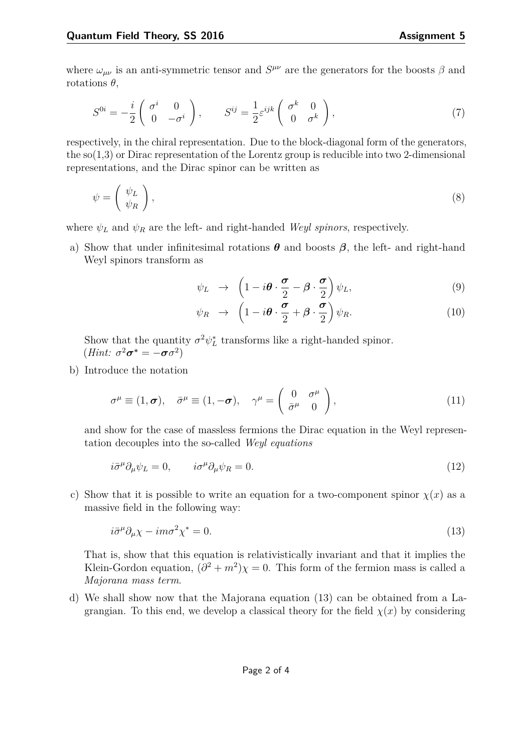where  $\omega_{\mu\nu}$  is an anti-symmetric tensor and  $S^{\mu\nu}$  are the generators for the boosts  $\beta$  and rotations  $\theta$ ,

$$
S^{0i} = -\frac{i}{2} \begin{pmatrix} \sigma^i & 0\\ 0 & -\sigma^i \end{pmatrix}, \qquad S^{ij} = \frac{1}{2} \varepsilon^{ijk} \begin{pmatrix} \sigma^k & 0\\ 0 & \sigma^k \end{pmatrix}, \tag{7}
$$

respectively, in the chiral representation. Due to the block-diagonal form of the generators, the  $\mathfrak{so}(1,3)$  or Dirac representation of the Lorentz group is reducible into two 2-dimensional representations, and the Dirac spinor can be written as

$$
\psi = \left(\begin{array}{c} \psi_L \\ \psi_R \end{array}\right),\tag{8}
$$

where  $\psi_L$  and  $\psi_R$  are the left- and right-handed *Weyl spinors*, respectively.

a) Show that under infinitesimal rotations  $\theta$  and boosts  $\beta$ , the left- and right-hand Weyl spinors transform as

<span id="page-1-2"></span>
$$
\psi_L \rightarrow \left(1 - i\boldsymbol{\theta} \cdot \frac{\boldsymbol{\sigma}}{2} - \boldsymbol{\beta} \cdot \frac{\boldsymbol{\sigma}}{2}\right) \psi_L, \tag{9}
$$

<span id="page-1-1"></span>
$$
\psi_R \rightarrow \left(1 - i\boldsymbol{\theta} \cdot \frac{\boldsymbol{\sigma}}{2} + \boldsymbol{\beta} \cdot \frac{\boldsymbol{\sigma}}{2}\right) \psi_R. \tag{10}
$$

Show that the quantity  $\sigma^2 \psi_L^*$  transforms like a right-handed spinor.  $(Hint: \sigma^2 \sigma^* = -\sigma \sigma^2)$ 

b) Introduce the notation

$$
\sigma^{\mu} \equiv (1, \sigma), \quad \bar{\sigma}^{\mu} \equiv (1, -\sigma), \quad \gamma^{\mu} = \begin{pmatrix} 0 & \sigma^{\mu} \\ \bar{\sigma}^{\mu} & 0 \end{pmatrix}, \tag{11}
$$

and show for the case of massless fermions the Dirac equation in the Weyl representation decouples into the so-called *Weyl equations*

$$
i\bar{\sigma}^{\mu}\partial_{\mu}\psi_{L} = 0, \qquad i\sigma^{\mu}\partial_{\mu}\psi_{R} = 0. \tag{12}
$$

c) Show that it is possible to write an equation for a two-component spinor  $\chi(x)$  as a massive field in the following way:

<span id="page-1-0"></span>
$$
i\bar{\sigma}^{\mu}\partial_{\mu}\chi - im\sigma^2\chi^* = 0. \tag{13}
$$

That is, show that this equation is relativistically invariant and that it implies the Klein-Gordon equation,  $(\partial^2 + m^2)\chi = 0$ . This form of the fermion mass is called a *Majorana mass term*.

d) We shall show now that the Majorana equation [\(13\)](#page-1-0) can be obtained from a Lagrangian. To this end, we develop a classical theory for the field  $\chi(x)$  by considering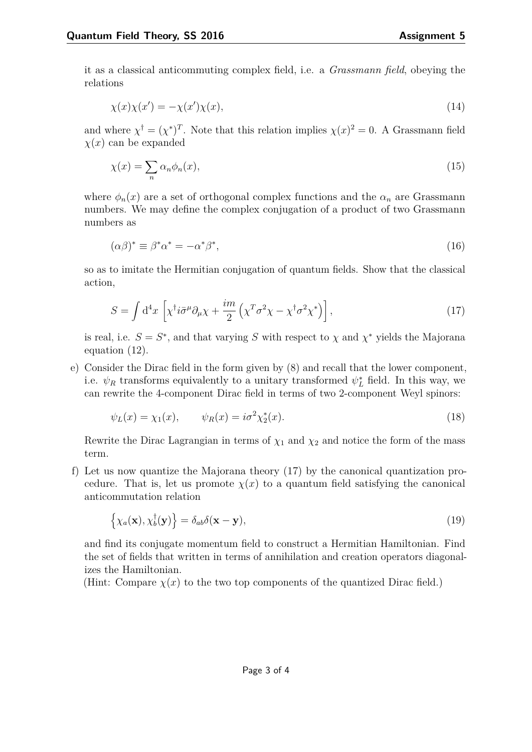it as a classical anticommuting complex field, i.e. a *Grassmann field*, obeying the relations

$$
\chi(x)\chi(x') = -\chi(x')\chi(x),\tag{14}
$$

and where  $\chi^{\dagger} = (\chi^*)^T$ . Note that this relation implies  $\chi(x)^2 = 0$ . A Grassmann field  $\chi(x)$  can be expanded

$$
\chi(x) = \sum_{n} \alpha_n \phi_n(x),\tag{15}
$$

where  $\phi_n(x)$  are a set of orthogonal complex functions and the  $\alpha_n$  are Grassmann numbers. We may define the complex conjugation of a product of two Grassmann numbers as

$$
(\alpha \beta)^* \equiv \beta^* \alpha^* = -\alpha^* \beta^*,\tag{16}
$$

so as to imitate the Hermitian conjugation of quantum fields. Show that the classical action,

<span id="page-2-0"></span>
$$
S = \int d^4x \left[ \chi^\dagger i \bar{\sigma}^\mu \partial_\mu \chi + \frac{im}{2} \left( \chi^T \sigma^2 \chi - \chi^\dagger \sigma^2 \chi^* \right) \right],\tag{17}
$$

is real, i.e.  $S = S^*$ , and that varying *S* with respect to  $\chi$  and  $\chi^*$  yields the Majorana equation [\(12\)](#page-1-1).

e) Consider the Dirac field in the form given by [\(8\)](#page-1-2) and recall that the lower component, i.e.  $\psi_R$  transforms equivalently to a unitary transformed  $\psi_L^*$  field. In this way, we can rewrite the 4-component Dirac field in terms of two 2-component Weyl spinors:

$$
\psi_L(x) = \chi_1(x), \qquad \psi_R(x) = i\sigma^2 \chi_2^*(x).
$$
\n(18)

Rewrite the Dirac Lagrangian in terms of  $\chi_1$  and  $\chi_2$  and notice the form of the mass term.

f) Let us now quantize the Majorana theory [\(17\)](#page-2-0) by the canonical quantization procedure. That is, let us promote  $\chi(x)$  to a quantum field satisfying the canonical anticommutation relation

$$
\left\{\chi_a(\mathbf{x}), \chi_b^{\dagger}(\mathbf{y})\right\} = \delta_{ab}\delta(\mathbf{x} - \mathbf{y}),\tag{19}
$$

and find its conjugate momentum field to construct a Hermitian Hamiltonian. Find the set of fields that written in terms of annihilation and creation operators diagonalizes the Hamiltonian.

(Hint: Compare  $\chi(x)$  to the two top components of the quantized Dirac field.)